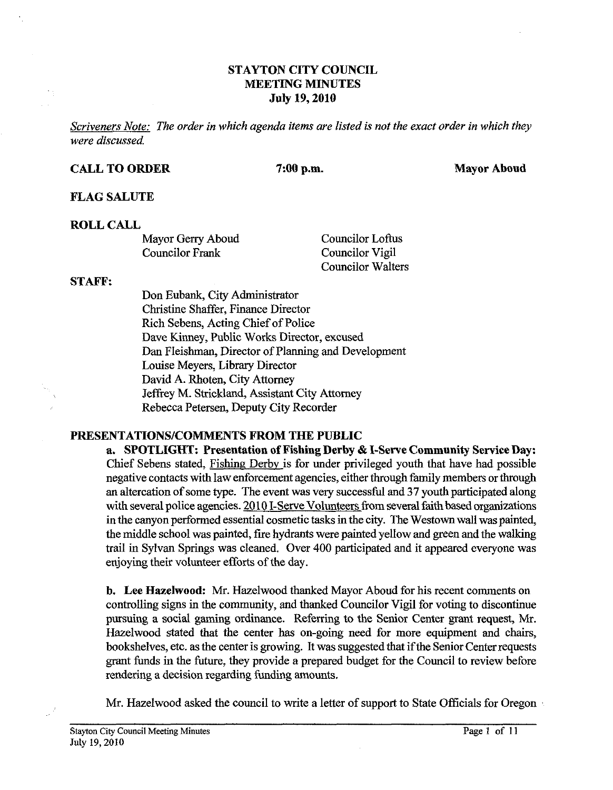## **STAYTON CITY COUNCIL MEETING MINUTES July 19,2010**

*Scriveners Note: The order in which agenda items are listed is not the exact order in which they were discussed* 

#### **CALL TO ORDER 7:00 p.m. Mayor Aboud**

#### **FLAG SALUTE**

#### **ROLL CALL**

Mayor Gerry Aboud<br>
Councilor Example Councilor Vigil<br>
Councilor Vigil

Councilor Vigil Councilor Walters

#### **STAFF:**

Don Eubank, City Administrator Christine Shaffer, Finance Director Rich Sebens, Acting Chief of Police Dave Kinney, Public Works Director, excused Dan Fleishman, Director of Planning and Development Louise Meyers, Library Director David A. Rhoten, City Attorney Jeffrey M. Strickland, Assistant City Attorney Rebecca Petersen, Deputy City Recorder

## **PRESENTATIONS/COMMENTS FROM THE PUBLIC**

**a. SPOTLIGHT: Presentation of Fishing Derby** & **I-Sewe Community Service Day:**  Chief Sebens stated, Fishing Derbv is for under privileged youth that have had possible negative contacts with law enforcement agencies, either through family members or through an altercation of some type. The event was very successful and **37** youth participated along with several police agencies. 2010 I-Serve Volunteers from several faith based organizations in the canyon performed essential cosmetic tasks in the city. The Westown wall was painted, the middle school was painted, fire hydrants were painted yellow and green and the walking trail in Sylvan Springs was cleaned. Over 400 participated and it appeared everyone was enjoying their volunteer efforts of the day.

b. **Lee Hazelwood: Mr.** Hazelwood thanked Mayor Aboud for his recent comments on controlling signs in the community, and thanked Councilor Vigil for voting to discontinue pursuing a social gaming ordinance. Referring to the Senior Center grant request, Mr. Hazelwood stated that the center has on-going need for more equipment and chairs, bookshelves, etc. as the center is growing. It was suggested that if the Senior Centerrequests grant funds in the future, they provide a prepared budget for the Council to review before rendering a decision regarding funding amounts.

Mr. Hazelwood asked the council to write a letter of support to State Officials for Oregon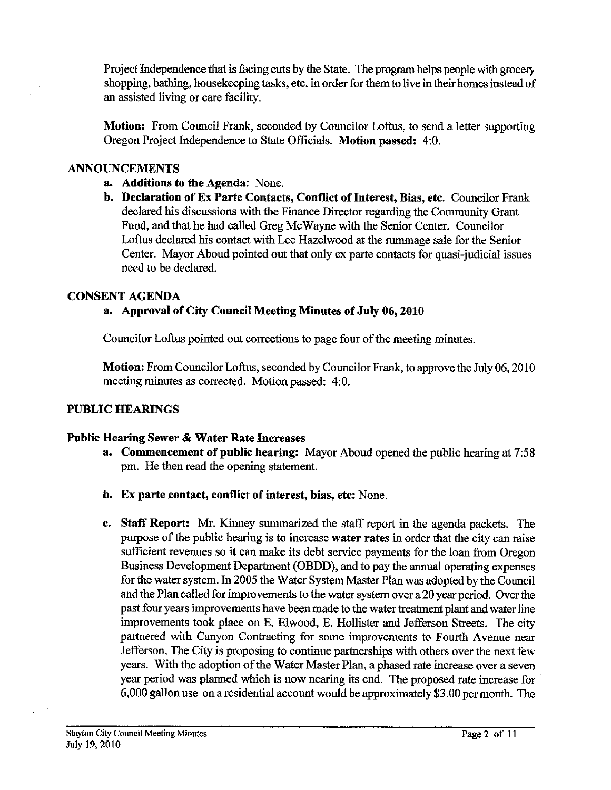Project Independence that is facing cuts by the State. The program helps people with grocery shopping, bathing, housekeeping tasks, etc. in order for them to live in their homes instead of an assisted living or care facility.

**Motion:** From Council Frank, seconded by Councilor Loftus, to send a letter supporting Oregon Project Independence to State Officials. Motion passed: 4:0.

# **ANNOUNCEMENTS**

- **a. Additions to the Agenda:** None.
- **b. Declaration of Ex Parte Contacts. Conflict of Interest. Bias. etc.** Councilor Frank declared his discussions with the Finance Director regarding the Community Grant Fund, and that he had called Greg McWavne with the Senior Center. Councilor Loftus declared his contact with Lee Hazelwood at the rummage sale for the Senior Center. Mayor Aboud pointed out that only ex parte contacts for quasi-judicial issues need to be declared.

## **CONSENT AGENDA**

# **a. Approval of City Council Meeting Minutes of July 06,2010**

Councilor **Loftus** pointed out corrections to page four of the meeting minutes.

**Motion:** From Councilor Loftus, seconded by Councilor Frank, to approve the July 06,2010 meeting minutes as corrected. Motion passed: 4:O.

# **PUBLIC HEARINGS**

# **Public Hearing Sewer** & **Water Rate Increases**

- **a. Commencement of public hearing:** Mayor Aboud opened the public hearing at 7:58 pm. He then read the opening statement.
- **b. Ex parte contact, conflict of interest, bias, etc:** None.
- **c. Staff Report: Mr.** Kinney summarized the staff report in the agenda packets. The purpose of the public hearing is to increase **water rates** in order that the city can raise sufficient revenues so it can make its debt service payments for the loan from Oregon Business Development Department (OBDD), and to pay the annual operating expenses for the water system. In 2005 the Water System Master Plan was adopted by the Council and the Plan called for improvements to the water system over a 20 year period. Over the past four years improvements have been made to the water treatment plant and water line improvements took place on E. Elwood, E. Hollister and Jefferson Streets. The city partnered with Canyon Contracting for some improvements to Fourth Avenue near Jefferson. The City is proposing to continue partnerships with others over the next few years. With the adoption of the Water Master Plan, a phased rate increase over a seven year period was planned which is now nearing its end. The proposed rate increase for 6,000 gallon use on a residential account would be approximately **\$3** .OO per month. The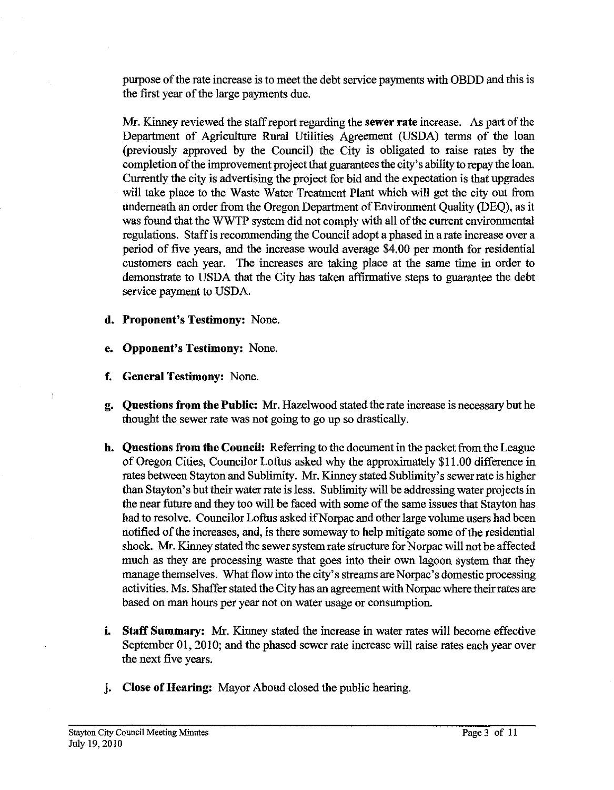purpose of the rate increase is to meet the debt service payments with OBDD and this is the first year of the large payments due.

*Mr.* Kinney reviewed the staff report regarding the **sewer rate** increase. As part of the Department of Agriculture Rural Utilities Agreement (USDA) terms of the loan (previously approved by the Council) the City is obligated to raise rates by the completion of the improvement project that guarantees the city's ability to repay the loan. Currently the city is advertising the project for bid and the expectation is that upgrades will take place to the Waste Water Treatment Plant which will get the city out from underneath an order fiom the Oregon Department of Environment Quality (DEQ), as it was found that the WWTP system did not comply with all of the current environmental regulations. Staff is recommending the Council adopt a phased in arate increase over a period of five years, and the increase would average \$4.00 per month for residential customers each year. The increases are taking place at the same time in order to demonstrate to USDA that the City has taken affirmative steps to guarantee the debt service payment to USDA.

- **d. Proponent's Testimony:** None.
- **e. Opponent's Testimony:** None.
- **f. General Testimony:** None.
- **g.** Ouestions from the Public: Mr. Hazelwood stated the rate increase is necessary but he thought the sewer rate was not going to go up so drastically.
- **h. Questions from the Council:** Referring to the document in the packet fromthe League of Oregon Cities, Councilor Loftus asked why the approximately \$1 1 .OO difference in rates between Stayton and Sublimity. Mr. Kinney stated Sublimity's sewer rate is higher than Stayton's but their water rate is less. Sublimity will be addressing water projects in the near future and they too will be faced with some of the same issues that Stayton has had to resolve. Councilor Loftus asked if Norpac and other large volume users had been notified of the increases, and, is there someway to help mitigate some of the residential shock. Mr. Kinney stated the sewer system rate structure for Norpac will not be affected much as they are processing waste that goes into their own lagoon system that they manage themselves. What flow into the city's streams are Norpac's domestic processing activities. Ms. Shaffer stated the City has an agreement with Norpac where their rates are based on man hours per year not on water usage or consumption.
- **i. Staff Summary:** *Mr.* Kinney stated the increase in water rates will become effective September 01, 2010; and the phased sewer rate increase will raise rates each year over the next five years.
- **j. Close of Hearing:** Mayor Aboud closed the public hearing.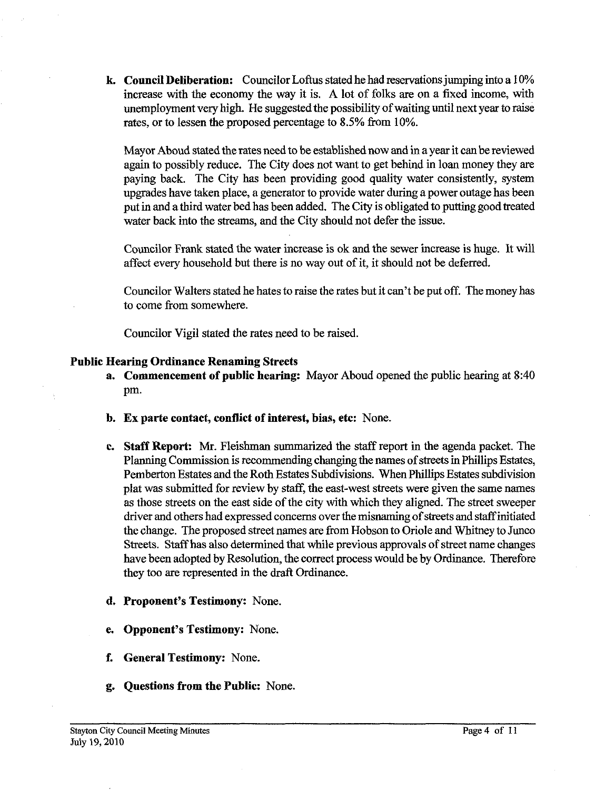**k Council Deliberation:** Councilor Loftus stated he had reservations jumping into a 10% increase with the economy the way it is. A lot of folks **are** on a fixed income, with unemployment very high. He suggested the possibility of waiting until next year to raise rates, or to lessen the proposed percentage to 8.5% from 10%.

Mayor Aboud stated the rates need to be established now and in a year it can be reviewed again to possibly reduce. The City does not want to get behind in loan money they are paying back. The City has been providing good quality water consistently, system upgrades have taken place, a generator to provide water during a power outage has been put in and a third water bed has been added. The City is obligated to putting good treated water back into the streams, and the City should not defer the issue.

Councilor Frank stated the water increase is ok and the sewer increase is huge. It will affect every household but there is no way out of it, it should not be deferred.

Councilor Walters stated he hates to raise the rates but it can't be put off. The money has to come from somewhere.

Councilor Vigil stated the rates need to be raised.

#### **Public Hearing Ordinance Renaming Streets**

- **a. Commencement of public hearing:** Mayor Aboud opened the public hearing at 8:40 pm.
- **b. Ex parte contact, conflict of interest, bias, etc:** None.
- **c. Staff Report: Mr.** Fleishman summarized the staff report in the agenda packet. The Planning Commission is recommending changing the names of **streets** in Phillips Estates, Pemberton Estates and the Roth Estates Subdivisions. When Phillips Estates subdivision plat was submitted for review by staff, the east-west streets were given the same names as those streets on the east side of the city with which they aligned. The street sweeper driver and others had expressed concerns over the misnaming of streets and staffinitiated the change. The proposed street names are from Hobson to Oriole and Whitney to Junco Streets. Staffhas also determined that while previous approvals of street name changes have been adopted by Resolution, the correct process would be by Ordinance. Therefore they too are represented in the **draft** Ordinance.
- **d. Proponent's Testimony:** None.
- **e. Opponent's Testimony:** None.
- **f. General Testimony:** None.
- **g. Questions from the Public:** None.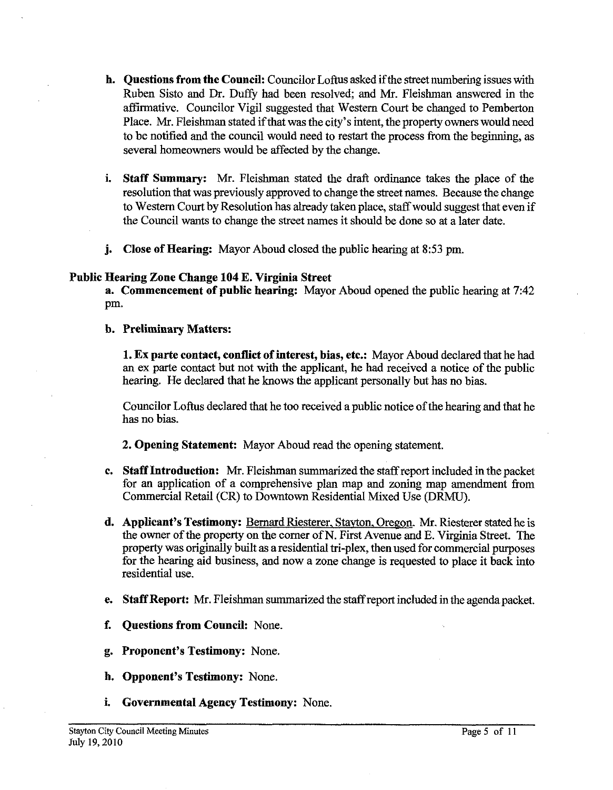- **h. Questions from the Council:** Councilor Loftus asked if the street numbering issues with Ruben Sisto and Dr. Duffy had been resolved; and Mr. Fleishman answered in the affirmative. Councilor Vigil suggested that Western Court be changed to Pemberton Place. Mr. Fleishman stated if that was the city's intent, the property owners would need to be notified and the council would need to restart the process from the beginning, as several homeowners would be affected by the change.
- **i.** Staff Summary: Mr. Fleishman stated the draft ordinance takes the place of the resolution that was previously approved to change the street names. Because the change to Western Court by Resolution has already taken place, staff would suggest that even if the Council wants to change the street names it should be done so at a later date.
- **j. Close of Hearing:** Mayor Aboud closed the public hearing at **8:53** pm.

## **Public Hearing Zone Change 104 E. Virginia Street**

**a. Commencement of public hearing:** Mayor Aboud opened the public hearing at **7:42**  Pm.

**b. Preliminary Matters:** 

**1. Ex parte contact, conflict of interest, bias, etc.:** Mayor Aboud declared that he had an ex parte contact but not with the applicant, he had received a notice of the public hearing. He declared that he knows the applicant personally but has no bias.

Councilor Loftus declared that he too received a public notice of the hearing and that he has no bias.

**2. Opening Statement:** Mayor Aboud read the opening statement.

- **c. Staff Introduction: Mr.** Fleishman summarized the staff report included in the packet for an application of a comprehensive plan map and zoning map amendment from Commercial Retail (CR) to Downtown Residential Mixed Use (DRMU).
- **d. Applicant's Testimony:** Bernard Riesterer, Stavton. Oregon. Mr. Riesterer stated he is the owner of the properly on the comer of N. First Avenue and E. Virginia Street. The property was originally built as a residential tri-plex, then used for commercial purposes for the hearing aid business, and now a zone change is requested to place it back into residential use.
- **e. Staff Report: Mr.** Fleishman summarized the staff report included in the agenda packet.
- **f. Questions from Council:** None.
- **g. Proponent's Testimony:** None.
- **h. Opponent's Testimony:** None.
- **i. Governmental Agency Testimony:** None.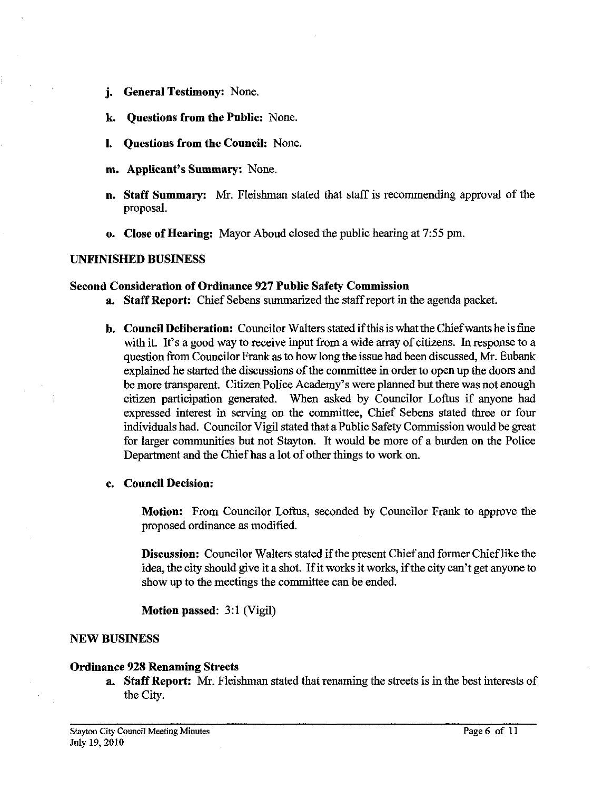- **j. General Testimony:** None.
- **k. Questions from the Public:** None.
- **1. Questions from the Council:** None.
- **m. Applicant's Summary:** None.
- **n. Staff Summary: Mr.** Fleishman stated that staff is recommending approval of the proposal.
- **o. Close of Hearing:** Mayor Aboud closed the public hearing at 7:55 pm.

#### **UNFINISHED BUSINESS**

#### **Second Consideration of Ordinance 927 Public Safety Commission**

- **a. Staff Report:** Chief Sebens summarized the staff report in the agenda packet.
- **b. Council Deliberation:** Councilor Walters stated if this is what the Chief wants he is fine with it. It's a good way to receive input from a wide array of citizens. In response to a question from Councilor Frank as to how long the issue had been discussed, Mr. Eubank explained he started the discussions of the committee in order to open up the doors and be more transparent. Citizen Police Academy's were planned but there was not enough citizen participation generated. When asked by Councilor Loftus if anyone had expressed interest in serving on the committee, Chief Sebens stated three or four individuals had. Councilor Vigil stated that a Public Safety Commission would be great for larger communities but not Stayton. It would be more of a burden on the Police Department and the Chief has a lot of other things to work on.

#### **c. Council Decision:**

**Motion:** From Councilor Loftus, seconded by Councilor Frank to approve the proposed ordinance as modified.

**Discussion:** Councilor Walters stated if the present Chief and former Chief like the idea, the city should give it a shot. If it works it works, if the city can't get anyone to show up to the meetings the committee can be ended.

**Motion passed: 3:l** (Vigil)

#### **NEW BUSINESS**

#### **Ordinance 928 Renaming Streets**

**a. Staff Report: Mr.** Fleishman stated that renaming the streets is in the best interests of the City.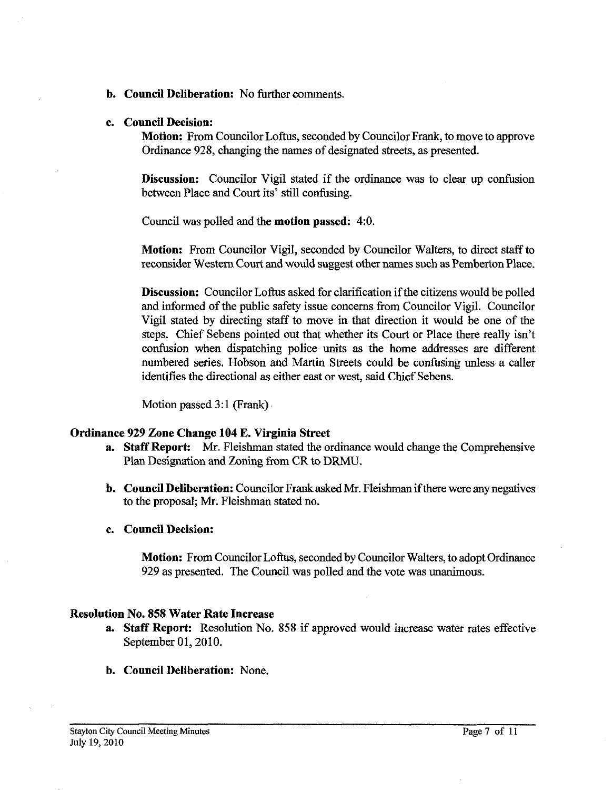- **b. Council Deliberation:** No further comments.
- **c. Council Decision:**

**Motion:** From Councilor Loftus, seconded by Councilor Frank, to move to approve Ordinance 928, changing the names of designated streets, as presented.

**Discussion:** Councilor Vigil stated if the ordinance was to clear up confusion between Place and Court its' still confusing.

Council was polled and the **motion passed:** 4:O.

**Motion:** From Councilor Vigil, seconded by Councilor Walters, to direct staff to reconsider Western Court and would suggest other names such as Pemberton Place.

**Discussion:** Councilor Loftus asked for clarification if the citizens would be polled and informed of the public safety issue concerns from Councilor Vigil. Councilor Vigil stated by directing staff to move in that direction it would be one of the steps. Chief Sebens pointed out that whether its Court or Place there really isn't confusion when dispatching police units as the home addresses are different numbered series. Hobson and Martin Streets could be confusing unless a caller identifies the directional as either east or west, said Chief Sebens.

Motion passed  $3:1$  (Frank)

## **Ordinance 929 Zone Change 104 E. Virginia Street**

- **a. Staff Report:** Mr. Fleishman stated the ordinance would change the Comprehensive Plan Designation and Zoning from CR to DRMU.
- **b. Council Deliberation:** Councilor Frank asked Mr. Fleishman if there were any negatives to the proposal, Mr. Fleishman stated no.
- **c. Council Decision:**

**Motion:** From Councilor Loftus, seconded by Councilor Walters, to adopt Ordinance 929 as presented. The Council was polled and the vote was unanimous.

## **Resolution No. 858 Water Rate Increase**

- **a. Staff Report:** Resolution No. **858** if approved would increase water rates effective September 01,2010.
- **b. Council Deliberation:** None.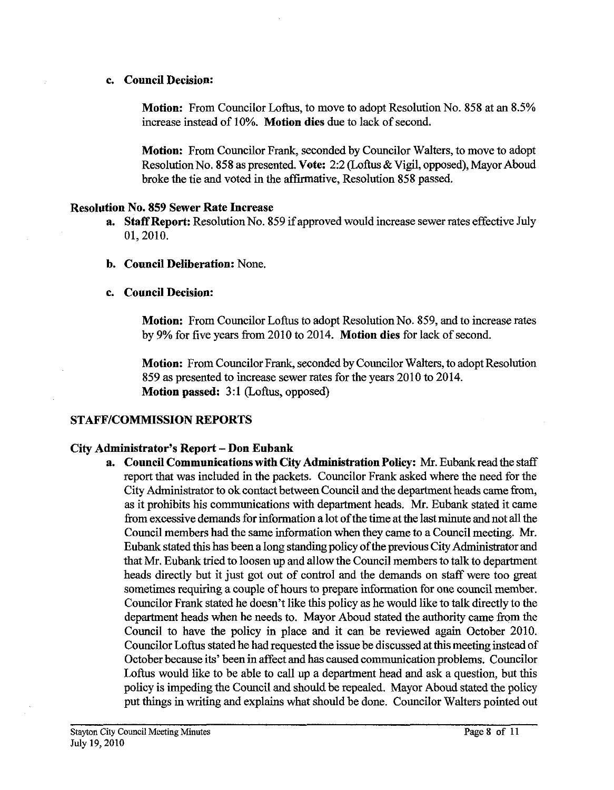## **c. Council Decision:**

**Motion:** From Councilor Loftus, to move to adopt Resolution No. **858** at an **8.5%**  increase instead of 10%. **Motion dies** due to lack of second.

**Motion:** From Councilor Frank, seconded by Councilor Walters, to move to adopt ResolutionNo. **858** as presented. **Vote:** 2:2 (Loftus & Vigil, opposed), Mayor Aboud broke the tie and voted in the affirmative, Resolution **858** passed.

## **Resolution No. 859 Sewer Rate Increase**

- **a.** Staff Report: Resolution No. 859 if approved would increase sewer rates effective July 01,2010.
- **b. Council Deliberation:** None.

# **c. Council Decision:**

**Motion:** From Councilor Loftus to adopt Resolution No. **859,** and to increase rates by **9%** for five years from 2010 to 2014. **Motion dies** for lack of second.

**Motion:** From Councilor Frank, seconded by Councilor Walters, to adopt Resolution **859** as presented to increase sewer rates for the years 2010 to 2014. **Motion passed: 3:l** (Loftus, opposed)

# **STAFFICOMMISSION REPORTS**

## **City Administrator's Report** - **Don Eubank**

**a. Council Communications with City Administration Policy: Mr. Eubank read the staff** report that was included in the packets. Councilor Frank asked where the need for the City Administrator to ok contact between Council and the department heads came from, as it prohibits his communications with department heads. Mr. Eubank stated it came from excessive demands for information a lot of the time at the last minute and not **all** the Council members had the same information when thev came to a Council meeting. Mr. Eubank stated this has been a long standing policy of the previous City Administrator and that Mr. Eubank tried to loosen up and allow the Council members to talk to department heads directly but it just got out of control and the demands on staff were too great sometimes requiring a couple of hours to prepare information for one council member. Councilor Frank stated he doesn't like this policy as he would like to talk directly to the department heads when he needs to. Mayor Aboud stated the authority came from the Council to have the policy in place and it can be reviewed again October 2010. Councilor Loflus stated he had requested the issue be discussed at this meeting instead of October because its' been in affect and has caused communication problems. Councilor Loftus would like to be able to call up a department head and ask a question, but this policy is impeding the Council and should be repealed. Mayor Aboud stated the policy put things in writing and explains what should be done. Councilor Walters pointed out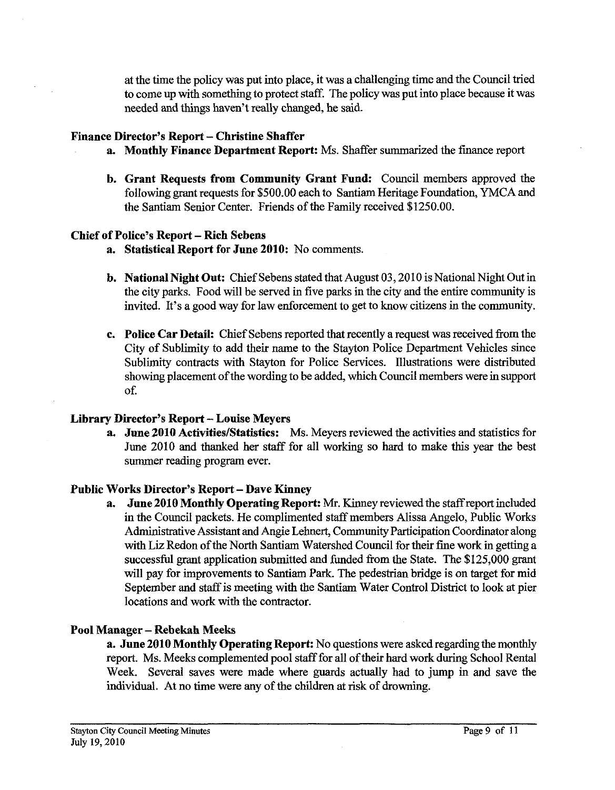at the time the policy was put into place, it was a challenging time and the Council tried to come up with something to protect staff. The policy was put into place because it was needed and things haven't really changed, he said.

# **Finance Director's Report** - **Christine Shaffer**

- **a. Monthly Finance Department Report.** Ms. Shaffer summarized the finance report
- **b. Grant Requests from Community Grant Fund:** Council members approved the following grant requests for \$500.00 each to Santiam Heritage Foundation, YMCA and the Santiam Senior Center. Friends of the Family received \$1250.00.

# **Chief of Police's Report** - **Rich Sebens**

- **a. Statistical Report for June 2010:** No comments.
- **b. National Night Out:** Chief Sebens stated that August 03,2010 is National Night Out in the city parks. Food will be served in five parks in the city and the entire community is invited. It's a good way for law enforcement to get to know citizens in the community.
- **c. Police Car Detail:** Chief Sebens reported that recently a request was received from the City of Sublimity to add their name to the Stayton Police Department Vehicles since Sublimity contracts with Stayton for Police Services. Illustrations were distributed showing placement of the wording to be added, which Council members were in support of.

## **Library Director's Report** - **Louise Meyers**

**a. June 2010 Activities/Statistics:** Ms. Meyers reviewed the activities and statistics for June 2010 and thanked her staff for all working so hard to make this year the best summer reading program ever.

# Public Works Director's Report - Dave Kinney<br>a. June 2010 Monthly Operating Repor

**June 2010 Monthly Operating Report:** Mr. Kinney reviewed the staff report included in the Council packets. He complimented staff members Alissa Angelo, Public Works Administrative Assistant and Angie Lehnert, Community Participation Coordinator along with Liz Redon of the North Santiam Watershed Council for their fine work in getting a successful grant application submitted and funded from the State. The \$125,000 grant will pay for improvements to Santiam Park. The pedestrian bridge is on target for mid September and staff is meeting with the Santiam Water Control District to look at pier locations and work with the contractor.

# **Pool Manager** - **Rebekah Meeks**

**a. June 2010 Monthly Operating Report:** No questions were asked regarding the monthly report. Ms. Meeks complemented pool staff for all of their hard work during School Rental Week. Several saves were made where guards actually had to jump in and save the individual. At no time were any of the children at risk of drowning.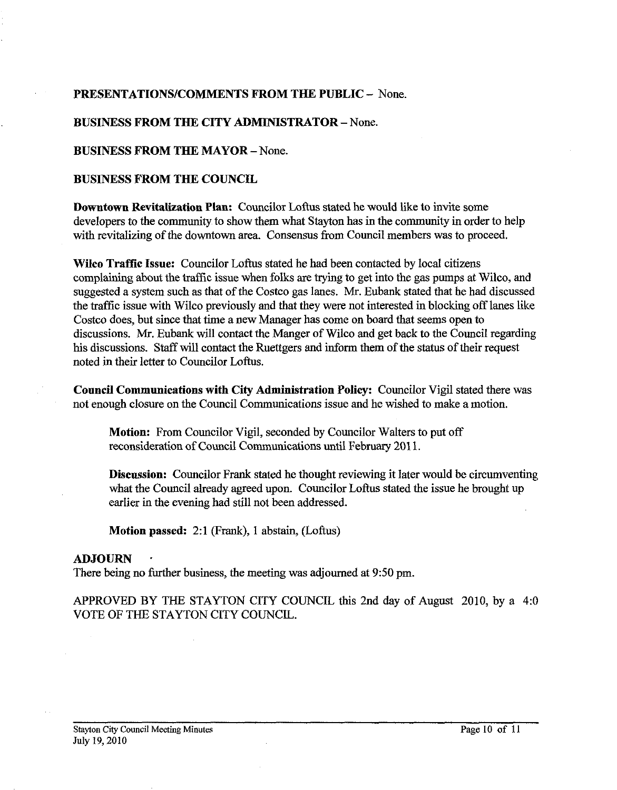# **PRESENTATIONSICOMMENTS FROM THE PUBLIC** - None.

## **BUSINESS FROM THE CITY ADMINISTRATOR** - None.

## **BUSINESS FROM THE MAYOR - None.**

#### **BUSINESS FROM THE COUNCIL**

**Downtown Revitalization Plan:** Councilor Loftus stated he would like to invite some developers to the community to show them what Stayton has in the community in order to help with revitalizing of the downtown area. Consensus from Council members was to proceed.

**Wilco Traftic Issue:** Councilor Loftus stated he had been contacted by local citizens complaining about the traffic issue when folks are trying to get into the gas pumps at Wileo, and suggested a system such as that of the Costco gas lanes. Mr. Eubank stated that he had discussed the traffic issue with Wilco previously and that they were not interested in blocking off lanes like Costeo does, but since that time a new Manager has come on board that seems open to discussions. Mr. Eubank will contact the Manger of Wilco and get back to the Council regarding his discussions. Staff will contact the Ruettgers and inform them of the status of their request noted in their letter to Councilor Loftus.

**Council Communications with City Administration Policy:** Councilor Vigil stated there was not enough closure on the Council Communications issuc and hc wishcd to make a motion.

**Motion:** From Councilor Vigil, seconded by Councilor Walters to put off reconsideration of Council Communications until February 201 1.

**Discussion:** Councilor Frank stated he thought reviewing it later would be circumventing what the Council already agreed upon. Councilor Loftus stated the issue he brought up earlier in the evening had still not been addressed.

**Motion passed:** 2:l (Frank), 1 abstain, (Loftus)

## **ADJOURN** .

There being no further business, the meeting was adjourned at **9:50** pm.

APPROVED BY THE STAYTON CITY COUNCIL this 2nd day of August 2010, by a 4:O VOTE OF THE STAYTON CITY COUNCIL.